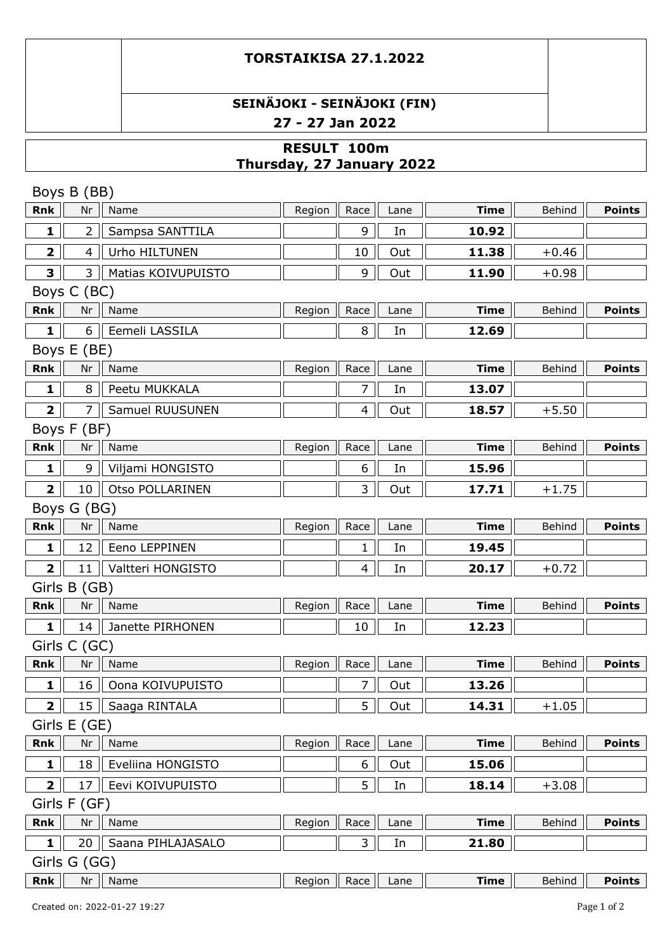# **SEINÄJOKI - SEINÄJOKI (FIN) 27 - 27 Jan 2022**

## **RESULT 100m Thursday, 27 January 2022**

|                         | Boys B (BB)              |                    |                                          |                |      |             |         |               |  |
|-------------------------|--------------------------|--------------------|------------------------------------------|----------------|------|-------------|---------|---------------|--|
| Rnk                     | Nr                       | Name               | Region                                   | Race           | Lane | <b>Time</b> | Behind  | <b>Points</b> |  |
| 1                       | $\overline{2}$           | Sampsa SANTTILA    |                                          | 9              | In   | 10.92       |         |               |  |
| $\overline{\mathbf{2}}$ | $\overline{\mathcal{A}}$ | Urho HILTUNEN      |                                          | 10             | Out  | 11.38       | $+0.46$ |               |  |
| 3                       | 3                        | Matias KOIVUPUISTO |                                          | 9              | Out  | 11.90       | $+0.98$ |               |  |
|                         | Boys C (BC)              |                    |                                          |                |      |             |         |               |  |
| <b>Rnk</b>              | Nr                       | Name               | Region                                   | Race           | Lane | <b>Time</b> | Behind  | <b>Points</b> |  |
| $\mathbf{1}$            | 6                        | Eemeli LASSILA     |                                          | 8              | In   | 12.69       |         |               |  |
|                         | Boys E (BE)              |                    |                                          |                |      |             |         |               |  |
| Rnk                     | Nr                       | Name               | Region                                   | Race           | Lane | <b>Time</b> | Behind  | <b>Points</b> |  |
| $\mathbf{1}$            | 8                        | Peetu MUKKALA      |                                          | $\overline{7}$ | In   | 13.07       |         |               |  |
| $\overline{\mathbf{2}}$ | 7                        | Samuel RUUSUNEN    |                                          | $\overline{4}$ | Out  | 18.57       | $+5.50$ |               |  |
|                         | Boys F (BF)              |                    |                                          |                |      |             |         |               |  |
| Rnk                     | Nr                       | Name               | Region                                   | Race           | Lane | <b>Time</b> | Behind  | <b>Points</b> |  |
| 1                       | 9                        | Viljami HONGISTO   |                                          | 6              | In   | 15.96       |         |               |  |
| $\overline{\mathbf{2}}$ | 10                       | Otso POLLARINEN    |                                          | 3              | Out  | 17.71       | $+1.75$ |               |  |
|                         | Boys G (BG)              |                    |                                          |                |      |             |         |               |  |
| <b>Rnk</b>              | Nr                       | Name               | Region                                   | Race           | Lane | <b>Time</b> | Behind  | <b>Points</b> |  |
| 1                       | 12                       | Eeno LEPPINEN      |                                          | 1              | In   | 19.45       |         |               |  |
| $\overline{\mathbf{2}}$ | 11                       | Valtteri HONGISTO  |                                          | $\overline{4}$ | In   | 20.17       | $+0.72$ |               |  |
|                         | Girls B (GB)             |                    |                                          |                |      |             |         |               |  |
| Rnk                     | Nr                       | Name               | Region                                   | Race           | Lane | <b>Time</b> | Behind  | <b>Points</b> |  |
| $\mathbf{1}$            | 14                       | Janette PIRHONEN   |                                          | 10             | In   | 12.23       |         |               |  |
|                         | Girls C (GC)             |                    |                                          |                |      |             |         |               |  |
| <b>Rnk</b>              | Nr                       | Name               | Region                                   | Race           | Lane | <b>Time</b> | Behind  | <b>Points</b> |  |
| 1                       | 16                       | Oona KOIVUPUISTO   |                                          | $\overline{7}$ | Out  | 13.26       |         |               |  |
| $\overline{2}$          | 15                       | Saaga RINTALA      |                                          | 5              | Out  | 14.31       | $+1.05$ |               |  |
|                         | Girls E (GE)             |                    |                                          |                |      |             |         |               |  |
| <b>Rnk</b>              | Nr                       | Name               | Region                                   | Race           | Lane | <b>Time</b> | Behind  | <b>Points</b> |  |
| $\mathbf{1}$            | 18                       | Eveliina HONGISTO  |                                          | 6              | Out  | 15.06       |         |               |  |
| $\overline{\mathbf{2}}$ | 17                       | Eevi KOIVUPUISTO   |                                          | 5              | In   | 18.14       | $+3.08$ |               |  |
|                         | Girls F (GF)             |                    |                                          |                |      |             |         |               |  |
| Rnk                     | Nr                       | Name               | Region                                   | Race           | Lane | <b>Time</b> | Behind  | <b>Points</b> |  |
| $\mathbf{1}$            | 20                       | Saana PIHLAJASALO  |                                          | 3              | In   | 21.80       |         |               |  |
|                         | Girls G (GG)             |                    |                                          |                |      |             |         |               |  |
| Rnk                     | Nr                       | Name               | Region $\parallel$ Race $\parallel$ Lane |                |      | <b>Time</b> | Behind  | Points        |  |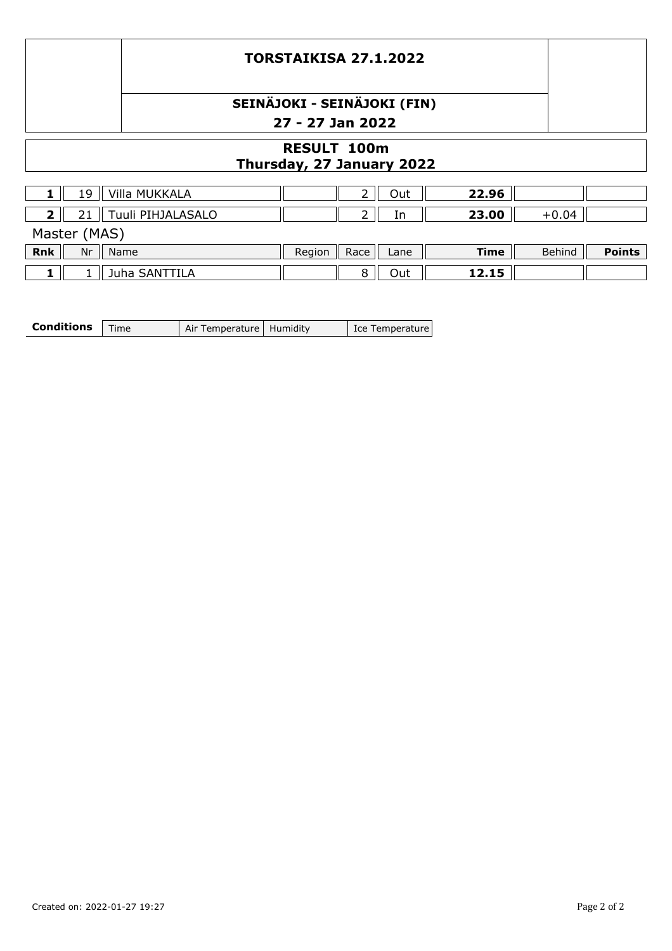# **SEINÄJOKI - SEINÄJOKI (FIN) 27 - 27 Jan 2022**

## **RESULT 100m Thursday, 27 January 2022**

| 19               | Villa MUKKALA     |        |      | Out  | 22.96 |         |               |  |
|------------------|-------------------|--------|------|------|-------|---------|---------------|--|
|                  | Tuuli PIHJALASALO |        |      | In   | 23.00 | $+0.04$ |               |  |
| Master (MAS)     |                   |        |      |      |       |         |               |  |
| <b>Rnk</b><br>Nr | Name              | Region | Race | Lane | Time  | Behind  | <b>Points</b> |  |
|                  | Juha SANTTILA     |        |      | Out  | 12.15 |         |               |  |

| <b>Conditions</b>   Time |  | Air Temperature   Humidity |  | Lce Temperature |
|--------------------------|--|----------------------------|--|-----------------|
|--------------------------|--|----------------------------|--|-----------------|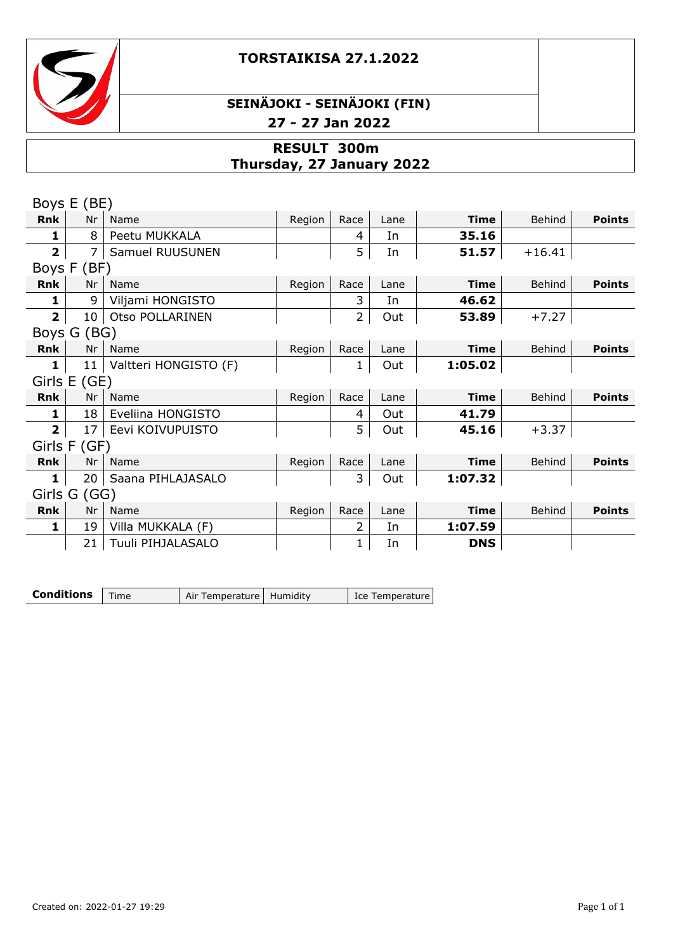



## **SEINÄJOKI - SEINÄJOKI (FIN) 27 - 27 Jan 2022**

## **RESULT 300m Thursday, 27 January 2022**

|                | Boys E (BE)     |                            |        |                |      |             |          |               |
|----------------|-----------------|----------------------------|--------|----------------|------|-------------|----------|---------------|
| <b>Rnk</b>     | Nr              | Name                       | Region | Race           | Lane | <b>Time</b> | Behind   | <b>Points</b> |
| $\mathbf{1}$   | 8               | Peetu MUKKALA              |        | 4              | In   | 35.16       |          |               |
| $\mathbf{2}$   | $\overline{7}$  | Samuel RUUSUNEN            |        | 5              | In   | 51.57       | $+16.41$ |               |
|                | Boys F (BF)     |                            |        |                |      |             |          |               |
| Rnk            | Nr              | Name                       | Region | Race           | Lane | <b>Time</b> | Behind   | <b>Points</b> |
| 1              | 9               | Viljami HONGISTO           |        | 3              | In   | 46.62       |          |               |
| $\overline{2}$ | 10 <sup>°</sup> | Otso POLLARINEN            |        | $\overline{2}$ | Out  | 53.89       | $+7.27$  |               |
|                | Boys G (BG)     |                            |        |                |      |             |          |               |
| Rnk            | Nr              | Name                       | Region | Race           | Lane | <b>Time</b> | Behind   | <b>Points</b> |
| $\mathbf{1}$   |                 | 11   Valtteri HONGISTO (F) |        |                | Out  | 1:05.02     |          |               |
|                | Girls E (GE)    |                            |        |                |      |             |          |               |
| Rnk            | Nr              | Name                       | Region | Race           | Lane | <b>Time</b> | Behind   | <b>Points</b> |
| 1              | 18              | Eveliina HONGISTO          |        | 4              | Out  | 41.79       |          |               |
| $\overline{2}$ | 17              | Eevi KOIVUPUISTO           |        | 5              | Out  | 45.16       | $+3.37$  |               |
|                | Girls F (GF)    |                            |        |                |      |             |          |               |
| Rnk            | Nr              | Name                       | Region | Race           | Lane | <b>Time</b> | Behind   | <b>Points</b> |
| 1              | 20              | Saana PIHLAJASALO          |        | 3              | Out  | 1:07.32     |          |               |
|                | Girls G (GG)    |                            |        |                |      |             |          |               |
| Rnk            | Nr              | Name                       | Region | Race           | Lane | <b>Time</b> | Behind   | <b>Points</b> |
| 1              | 19              | Villa MUKKALA (F)          |        | 2              | In   | 1:07.59     |          |               |
|                | 21              | Tuuli PIHJALASALO          |        | 1              | In   | <b>DNS</b>  |          |               |

**Conditions** Time Air Temperature Humidity Ice Temperature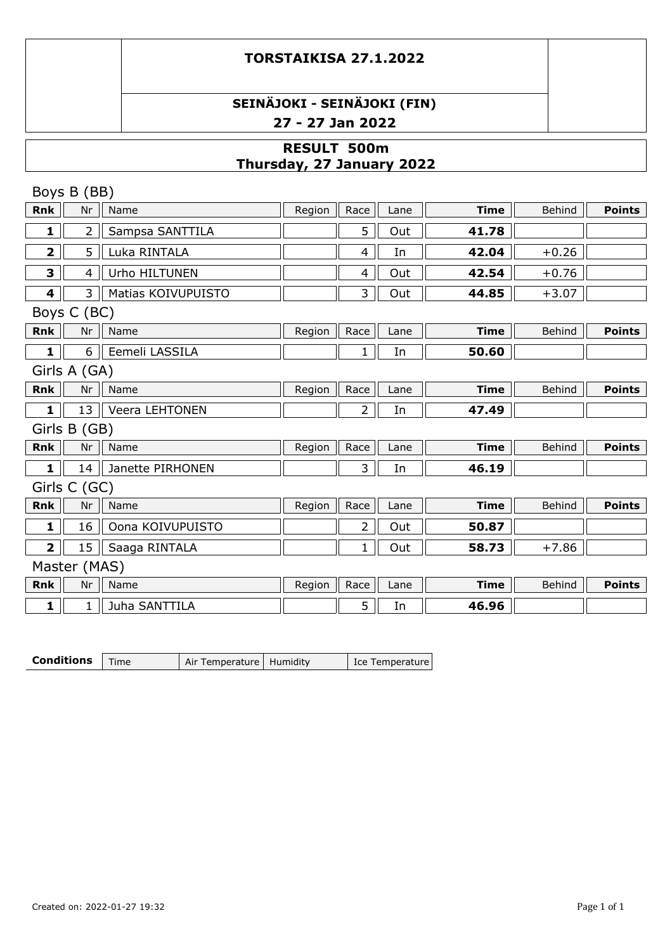# **SEINÄJOKI - SEINÄJOKI (FIN) 27 - 27 Jan 2022**

## **RESULT 500m Thursday, 27 January 2022**

|                         | Boys B (BB)    |                    |        |                |      |             |               |               |
|-------------------------|----------------|--------------------|--------|----------------|------|-------------|---------------|---------------|
| <b>Rnk</b>              | Nr             | Name               | Region | Race           | Lane | <b>Time</b> | <b>Behind</b> | <b>Points</b> |
| $\mathbf{1}$            | 2 <sup>1</sup> | Sampsa SANTTILA    |        | 5              | Out  | 41.78       |               |               |
| $\overline{\mathbf{2}}$ | 5              | Luka RINTALA       |        | 4              | In   | 42.04       | $+0.26$       |               |
| 3                       | $\overline{4}$ | Urho HILTUNEN      |        | 4              | Out  | 42.54       | $+0.76$       |               |
| 4                       | $\mathsf{3}$   | Matias KOIVUPUISTO |        | 3              | Out  | 44.85       | $+3.07$       |               |
|                         | Boys C (BC)    |                    |        |                |      |             |               |               |
| Rnk                     | Nr             | Name               | Region | Race           | Lane | <b>Time</b> | Behind        | <b>Points</b> |
| $\mathbf{1}$            | 6 <sup>1</sup> | Eemeli LASSILA     |        | $\mathbf{1}$   | In   | 50.60       |               |               |
|                         | Girls A (GA)   |                    |        |                |      |             |               |               |
| <b>Rnk</b>              | Nr             | Name               | Region | Race           | Lane | <b>Time</b> | Behind        | <b>Points</b> |
| $\mathbf{1}$            | 13             | Veera LEHTONEN     |        | $\overline{2}$ | In   | 47.49       |               |               |
|                         | Girls B (GB)   |                    |        |                |      |             |               |               |
| <b>Rnk</b>              | Nr             | Name               | Region | Race           | Lane | <b>Time</b> | Behind        | <b>Points</b> |
| $\mathbf{1}$            | 14             | Janette PIRHONEN   |        | 3              | In   | 46.19       |               |               |
|                         | Girls C (GC)   |                    |        |                |      |             |               |               |
| <b>Rnk</b>              | Nr             | Name               | Region | Race           | Lane | <b>Time</b> | Behind        | <b>Points</b> |
| $\mathbf{1}$            | 16             | Oona KOIVUPUISTO   |        | $\overline{2}$ | Out  | 50.87       |               |               |
| $\overline{2}$          | 15             | Saaga RINTALA      |        | $\mathbf{1}$   | Out  | 58.73       | $+7.86$       |               |
|                         | Master (MAS)   |                    |        |                |      |             |               |               |
| <b>Rnk</b>              | Nr             | Name               | Region | Race           | Lane | <b>Time</b> | Behind        | <b>Points</b> |
| 1                       | $\mathbf{1}$   | Juha SANTTILA      |        | 5              | In   | 46.96       |               |               |

| <b>Conditions</b> $\mathsf{Time}$ | Air Temperature   Humidity | Ice Temperature |
|-----------------------------------|----------------------------|-----------------|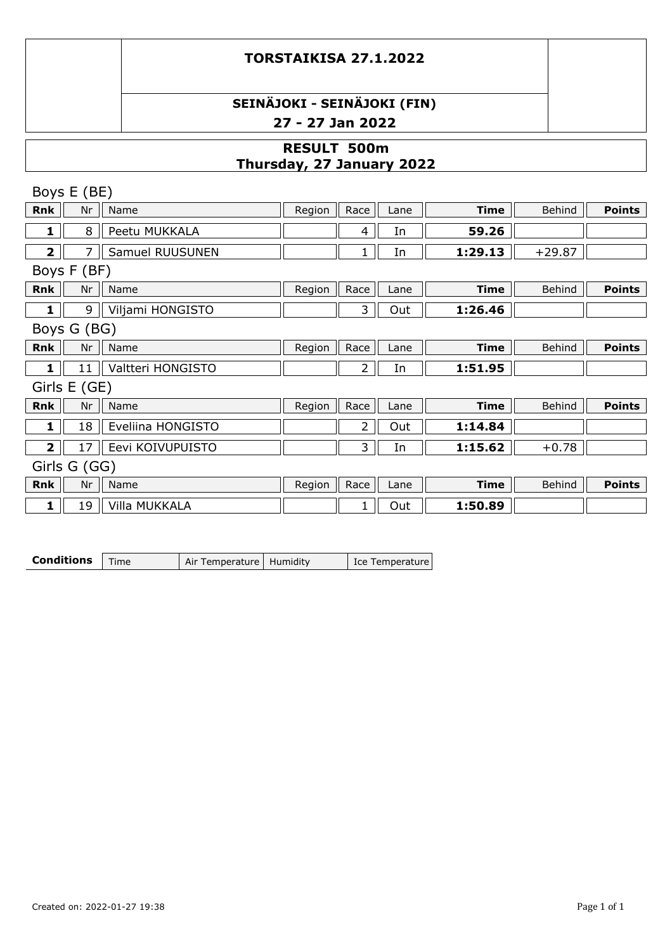## **SEINÄJOKI - SEINÄJOKI (FIN) 27 - 27 Jan 2022**

## **RESULT 500m Thursday, 27 January 2022**

|                         | Boys E (BE)  |                      |        |                |      |             |               |               |
|-------------------------|--------------|----------------------|--------|----------------|------|-------------|---------------|---------------|
| <b>Rnk</b>              | Nr           | Name                 | Region | Race           | Lane | <b>Time</b> | Behind        | <b>Points</b> |
| 1                       | 8            | Peetu MUKKALA        |        | 4              | In   | 59.26       |               |               |
| $\overline{\mathbf{2}}$ |              | Samuel RUUSUNEN      |        | 1              | In   | 1:29.13     | $+29.87$      |               |
|                         | Boys F (BF)  |                      |        |                |      |             |               |               |
| <b>Rnk</b>              | Nr           | Name                 | Region | Race           | Lane | <b>Time</b> | Behind        | <b>Points</b> |
| 1                       | 9            | Viljami HONGISTO     |        | 3              | Out  | 1:26.46     |               |               |
|                         | Boys G (BG)  |                      |        |                |      |             |               |               |
| Rnk                     | Nr           | Name                 | Region | Race           | Lane | <b>Time</b> | Behind        | <b>Points</b> |
| 1                       | 11           | Valtteri HONGISTO    |        | 2              | In   | 1:51.95     |               |               |
|                         | Girls E (GE) |                      |        |                |      |             |               |               |
| <b>Rnk</b>              | Nr           | Name                 | Region | Race           | Lane | <b>Time</b> | <b>Behind</b> | <b>Points</b> |
| 1                       | 18           | Eveliina HONGISTO    |        | $\overline{2}$ | Out  | 1:14.84     |               |               |
| $\overline{2}$          | 17           | Eevi KOIVUPUISTO     |        | 3              | In   | 1:15.62     | $+0.78$       |               |
| Girls G (GG)            |              |                      |        |                |      |             |               |               |
| <b>Rnk</b>              | Nr           | Name                 | Region | Race           | Lane | <b>Time</b> | Behind        | <b>Points</b> |
| 1                       | 19           | <b>Villa MUKKALA</b> |        |                | Out  | 1:50.89     |               |               |

**Conditions** Time Air Temperature Humidity Ice Temperature